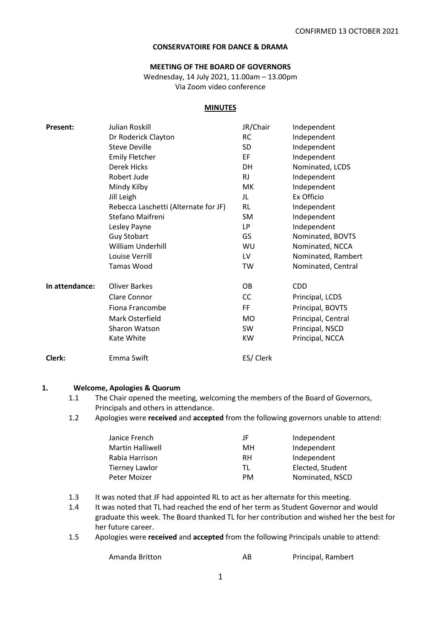### **CONSERVATOIRE FOR DANCE & DRAMA**

#### **MEETING OF THE BOARD OF GOVERNORS**

Wednesday, 14 July 2021, 11.00am – 13.00pm Via Zoom video conference

#### **MINUTES**

| <b>Present:</b> | Julian Roskill                       | JR/Chair  | Independent        |
|-----------------|--------------------------------------|-----------|--------------------|
|                 | Dr Roderick Clayton                  | <b>RC</b> | Independent        |
|                 | <b>Steve Deville</b>                 | SD        | Independent        |
|                 | <b>Emily Fletcher</b>                | EF        | Independent        |
|                 | <b>Derek Hicks</b>                   | DH        | Nominated, LCDS    |
|                 | Robert Jude                          | <b>RJ</b> | Independent        |
|                 | Mindy Kilby                          | МK        | Independent        |
|                 | Jill Leigh                           | JL        | Ex Officio         |
|                 | Rebecca Laschetti (Alternate for JF) | RL        | Independent        |
|                 | Stefano Maifreni                     | SM        | Independent        |
|                 | Lesley Payne                         | LP        | Independent        |
|                 | <b>Guy Stobart</b>                   | GS        | Nominated, BOVTS   |
|                 | William Underhill                    | WU        | Nominated, NCCA    |
|                 | Louise Verrill                       | LV        | Nominated, Rambert |
|                 | <b>Tamas Wood</b>                    | TW        | Nominated, Central |
| In attendance:  | <b>Oliver Barkes</b>                 | OВ        | <b>CDD</b>         |
|                 | <b>Clare Connor</b>                  | CC        | Principal, LCDS    |
|                 | Fiona Francombe                      | FF        | Principal, BOVTS   |
|                 | Mark Osterfield                      | <b>MO</b> | Principal, Central |
|                 | Sharon Watson                        | <b>SW</b> | Principal, NSCD    |
|                 | Kate White                           | <b>KW</b> | Principal, NCCA    |
| Clerk:          | Emma Swift                           | ES/ Clerk |                    |

#### **1. Welcome, Apologies & Quorum**

- 1.1 The Chair opened the meeting, welcoming the members of the Board of Governors, Principals and others in attendance.
- 1.2 Apologies were **received** and **accepted** from the following governors unable to attend:

| Janice French           | JF        | Independent      |
|-------------------------|-----------|------------------|
| <b>Martin Halliwell</b> | MН        | Independent      |
| Rabia Harrison          | RH        | Independent      |
| <b>Tierney Lawlor</b>   | ΤI        | Elected, Student |
| Peter Moizer            | <b>PM</b> | Nominated, NSCD  |

1.3 It was noted that JF had appointed RL to act as her alternate for this meeting.

- 1.4 It was noted that TL had reached the end of her term as Student Governor and would graduate this week. The Board thanked TL for her contribution and wished her the best for her future career.
- 1.5 Apologies were **received** and **accepted** from the following Principals unable to attend:

| Amanda Britton | AB | Principal, Rambert |
|----------------|----|--------------------|
|                |    |                    |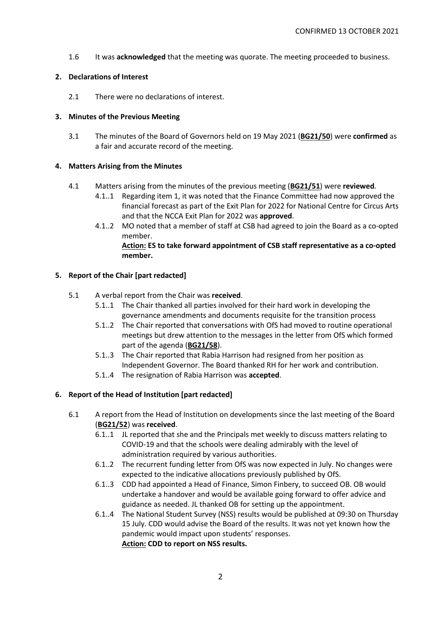1.6 It was **acknowledged** that the meeting was quorate. The meeting proceeded to business.

## **2. Declarations of Interest**

2.1 There were no declarations of interest.

## **3. Minutes of the Previous Meeting**

3.1 The minutes of the Board of Governors held on 19 May 2021 (**BG21/50**) were **confirmed** as a fair and accurate record of the meeting.

## **4. Matters Arising from the Minutes**

- 4.1 Matters arising from the minutes of the previous meeting (**BG21/51**) were **reviewed**.
	- 4.1..1 Regarding item 1, it was noted that the Finance Committee had now approved the financial forecast as part of the Exit Plan for 2022 for National Centre for Circus Arts and that the NCCA Exit Plan for 2022 was **approved**.
	- 4.1..2 MO noted that a member of staff at CSB had agreed to join the Board as a co-opted member.

## **Action: ES to take forward appointment of CSB staff representative as a co-opted member.**

# **5. Report of the Chair [part redacted]**

## 5.1 A verbal report from the Chair was **received**.

- 5.1..1 The Chair thanked all parties involved for their hard work in developing the governance amendments and documents requisite for the transition process
- 5.1..2 The Chair reported that conversations with OfS had moved to routine operational meetings but drew attention to the messages in the letter from OfS which formed part of the agenda (**BG21/58**).
- 5.1..3 The Chair reported that Rabia Harrison had resigned from her position as Independent Governor. The Board thanked RH for her work and contribution.
- 5.1..4 The resignation of Rabia Harrison was **accepted**.

# **6. Report of the Head of Institution [part redacted]**

- 6.1 A report from the Head of Institution on developments since the last meeting of the Board (**BG21/52**) was **received**.
	- 6.1..1 JL reported that she and the Principals met weekly to discuss matters relating to COVID-19 and that the schools were dealing admirably with the level of administration required by various authorities.
	- 6.1..2 The recurrent funding letter from OfS was now expected in July. No changes were expected to the indicative allocations previously published by OfS.
	- 6.1..3 CDD had appointed a Head of Finance, Simon Finbery, to succeed OB. OB would undertake a handover and would be available going forward to offer advice and guidance as needed. JL thanked OB for setting up the appointment.
	- 6.1..4 The National Student Survey (NSS) results would be published at 09:30 on Thursday 15 July. CDD would advise the Board of the results. It was not yet known how the pandemic would impact upon students' responses. **Action: CDD to report on NSS results.**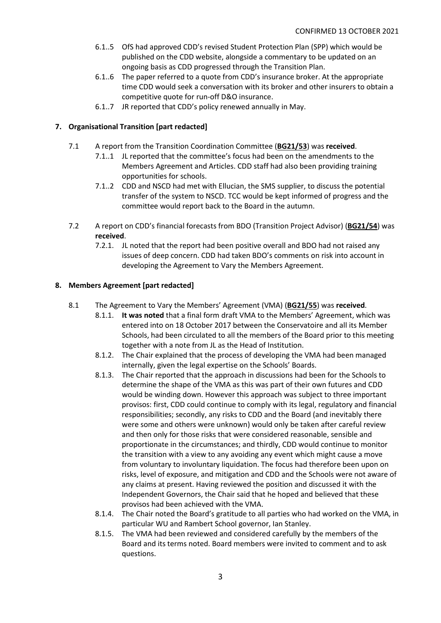- 6.1..5 OfS had approved CDD's revised Student Protection Plan (SPP) which would be published on the CDD website, alongside a commentary to be updated on an ongoing basis as CDD progressed through the Transition Plan.
- 6.1..6 The paper referred to a quote from CDD's insurance broker. At the appropriate time CDD would seek a conversation with its broker and other insurers to obtain a competitive quote for run-off D&O insurance.
- 6.1..7 JR reported that CDD's policy renewed annually in May.

# **7. Organisational Transition [part redacted]**

- 7.1 A report from the Transition Coordination Committee (**BG21/53**) was **received**.
	- 7.1..1 JL reported that the committee's focus had been on the amendments to the Members Agreement and Articles. CDD staff had also been providing training opportunities for schools.
	- 7.1..2 CDD and NSCD had met with Ellucian, the SMS supplier, to discuss the potential transfer of the system to NSCD. TCC would be kept informed of progress and the committee would report back to the Board in the autumn.
- 7.2 A report on CDD's financial forecasts from BDO (Transition Project Advisor) (**BG21/54**) was **received**.
	- 7.2.1. JL noted that the report had been positive overall and BDO had not raised any issues of deep concern. CDD had taken BDO's comments on risk into account in developing the Agreement to Vary the Members Agreement.

# **8. Members Agreement [part redacted]**

- 8.1 The Agreement to Vary the Members' Agreement (VMA) (**BG21/55**) was **received**.
	- 8.1.1. **It was noted** that a final form draft VMA to the Members' Agreement, which was entered into on 18 October 2017 between the Conservatoire and all its Member Schools, had been circulated to all the members of the Board prior to this meeting together with a note from JL as the Head of Institution.
	- 8.1.2. The Chair explained that the process of developing the VMA had been managed internally, given the legal expertise on the Schools' Boards.
	- 8.1.3. The Chair reported that the approach in discussions had been for the Schools to determine the shape of the VMA as this was part of their own futures and CDD would be winding down. However this approach was subject to three important provisos: first, CDD could continue to comply with its legal, regulatory and financial responsibilities; secondly, any risks to CDD and the Board (and inevitably there were some and others were unknown) would only be taken after careful review and then only for those risks that were considered reasonable, sensible and proportionate in the circumstances; and thirdly, CDD would continue to monitor the transition with a view to any avoiding any event which might cause a move from voluntary to involuntary liquidation. The focus had therefore been upon on risks, level of exposure, and mitigation and CDD and the Schools were not aware of any claims at present. Having reviewed the position and discussed it with the Independent Governors, the Chair said that he hoped and believed that these provisos had been achieved with the VMA.
	- 8.1.4. The Chair noted the Board's gratitude to all parties who had worked on the VMA, in particular WU and Rambert School governor, Ian Stanley.
	- 8.1.5. The VMA had been reviewed and considered carefully by the members of the Board and its terms noted. Board members were invited to comment and to ask questions.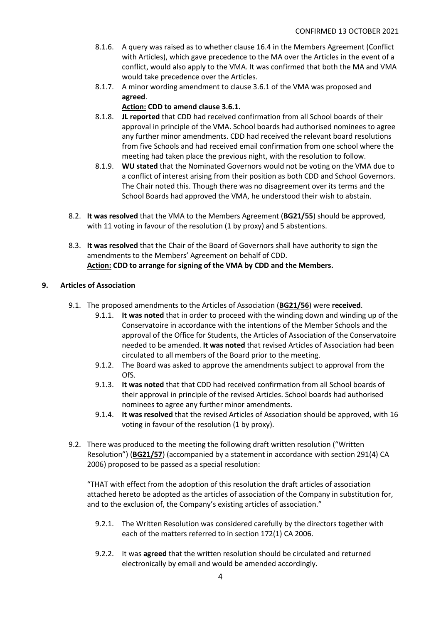- 8.1.6. A query was raised as to whether clause 16.4 in the Members Agreement (Conflict with Articles), which gave precedence to the MA over the Articles in the event of a conflict, would also apply to the VMA. It was confirmed that both the MA and VMA would take precedence over the Articles.
- 8.1.7. A minor wording amendment to clause 3.6.1 of the VMA was proposed and **agreed**.

# **Action: CDD to amend clause 3.6.1.**

- 8.1.8. **JL reported** that CDD had received confirmation from all School boards of their approval in principle of the VMA. School boards had authorised nominees to agree any further minor amendments. CDD had received the relevant board resolutions from five Schools and had received email confirmation from one school where the meeting had taken place the previous night, with the resolution to follow.
- 8.1.9. **WU stated** that the Nominated Governors would not be voting on the VMA due to a conflict of interest arising from their position as both CDD and School Governors. The Chair noted this. Though there was no disagreement over its terms and the School Boards had approved the VMA, he understood their wish to abstain.
- 8.2. **It was resolved** that the VMA to the Members Agreement (**BG21/55**) should be approved, with 11 voting in favour of the resolution (1 by proxy) and 5 abstentions.
- 8.3. **It was resolved** that the Chair of the Board of Governors shall have authority to sign the amendments to the Members' Agreement on behalf of CDD. **Action: CDD to arrange for signing of the VMA by CDD and the Members.**

# **9. Articles of Association**

- 9.1. The proposed amendments to the Articles of Association (**BG21/56**) were **received**.
	- 9.1.1. **It was noted** that in order to proceed with the winding down and winding up of the Conservatoire in accordance with the intentions of the Member Schools and the approval of the Office for Students, the Articles of Association of the Conservatoire needed to be amended. **It was noted** that revised Articles of Association had been circulated to all members of the Board prior to the meeting.
	- 9.1.2. The Board was asked to approve the amendments subject to approval from the OfS.
	- 9.1.3. **It was noted** that that CDD had received confirmation from all School boards of their approval in principle of the revised Articles. School boards had authorised nominees to agree any further minor amendments.
	- 9.1.4. **It was resolved** that the revised Articles of Association should be approved, with 16 voting in favour of the resolution (1 by proxy).
- 9.2. There was produced to the meeting the following draft written resolution ("Written Resolution") (**BG21/57**) (accompanied by a statement in accordance with section 291(4) CA 2006) proposed to be passed as a special resolution:

"THAT with effect from the adoption of this resolution the draft articles of association attached hereto be adopted as the articles of association of the Company in substitution for, and to the exclusion of, the Company's existing articles of association."

- 9.2.1. The Written Resolution was considered carefully by the directors together with each of the matters referred to in section 172(1) CA 2006.
- 9.2.2. It was **agreed** that the written resolution should be circulated and returned electronically by email and would be amended accordingly.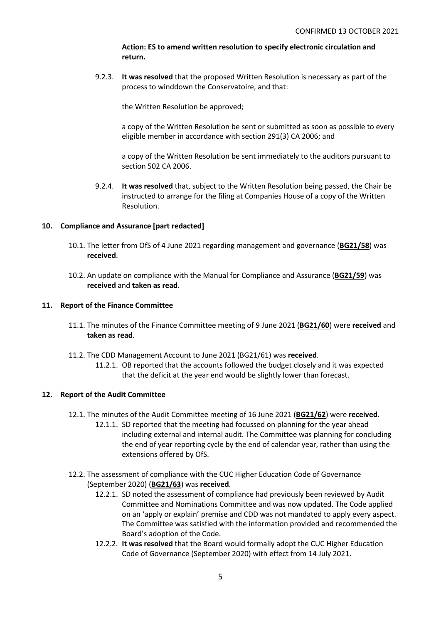## **Action: ES to amend written resolution to specify electronic circulation and return.**

9.2.3. **It was resolved** that the proposed Written Resolution is necessary as part of the process to winddown the Conservatoire, and that:

the Written Resolution be approved;

a copy of the Written Resolution be sent or submitted as soon as possible to every eligible member in accordance with section 291(3) CA 2006; and

a copy of the Written Resolution be sent immediately to the auditors pursuant to section 502 CA 2006.

9.2.4. **It was resolved** that, subject to the Written Resolution being passed, the Chair be instructed to arrange for the filing at Companies House of a copy of the Written Resolution.

# **10. Compliance and Assurance [part redacted]**

- 10.1. The letter from OfS of 4 June 2021 regarding management and governance (**BG21/58**) was **received**.
- 10.2. An update on compliance with the Manual for Compliance and Assurance (**BG21/59**) was **received** and **taken as read***.*

### **11. Report of the Finance Committee**

- 11.1. The minutes of the Finance Committee meeting of 9 June 2021 (**BG21/60**) were **received** and **taken as read**.
- 11.2. The CDD Management Account to June 2021 (BG21/61) was **received**.
	- 11.2.1. OB reported that the accounts followed the budget closely and it was expected that the deficit at the year end would be slightly lower than forecast.

### **12. Report of the Audit Committee**

- 12.1. The minutes of the Audit Committee meeting of 16 June 2021 (**BG21/62**) were **received**.
	- 12.1.1. SD reported that the meeting had focussed on planning for the year ahead including external and internal audit. The Committee was planning for concluding the end of year reporting cycle by the end of calendar year, rather than using the extensions offered by OfS.
- 12.2. The assessment of compliance with the CUC Higher Education Code of Governance (September 2020) (**BG21/63**) was **received**.
	- 12.2.1. SD noted the assessment of compliance had previously been reviewed by Audit Committee and Nominations Committee and was now updated. The Code applied on an 'apply or explain' premise and CDD was not mandated to apply every aspect. The Committee was satisfied with the information provided and recommended the Board's adoption of the Code.
	- 12.2.2. **It was resolved** that the Board would formally adopt the CUC Higher Education Code of Governance (September 2020) with effect from 14 July 2021.